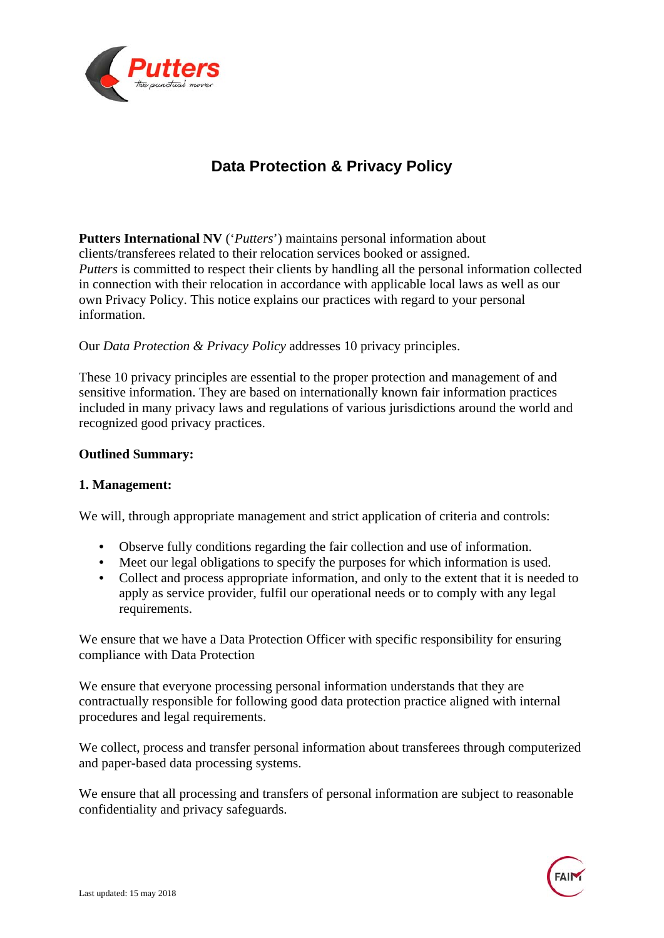

# **Data Protection & Privacy Policy**

**Putters International NV** ('*Putters*') maintains personal information about clients/transferees related to their relocation services booked or assigned. *Putters* is committed to respect their clients by handling all the personal information collected in connection with their relocation in accordance with applicable local laws as well as our own Privacy Policy. This notice explains our practices with regard to your personal information.

# Our *Data Protection & Privacy Policy* addresses 10 privacy principles.

These 10 privacy principles are essential to the proper protection and management of and sensitive information. They are based on internationally known fair information practices included in many privacy laws and regulations of various jurisdictions around the world and recognized good privacy practices.

# **Outlined Summary:**

#### **1. Management:**

We will, through appropriate management and strict application of criteria and controls:

- Observe fully conditions regarding the fair collection and use of information.
- Meet our legal obligations to specify the purposes for which information is used.
- Collect and process appropriate information, and only to the extent that it is needed to apply as service provider, fulfil our operational needs or to comply with any legal requirements.

We ensure that we have a Data Protection Officer with specific responsibility for ensuring compliance with Data Protection

We ensure that everyone processing personal information understands that they are contractually responsible for following good data protection practice aligned with internal procedures and legal requirements.

We collect, process and transfer personal information about transferees through computerized and paper-based data processing systems.

We ensure that all processing and transfers of personal information are subject to reasonable confidentiality and privacy safeguards.

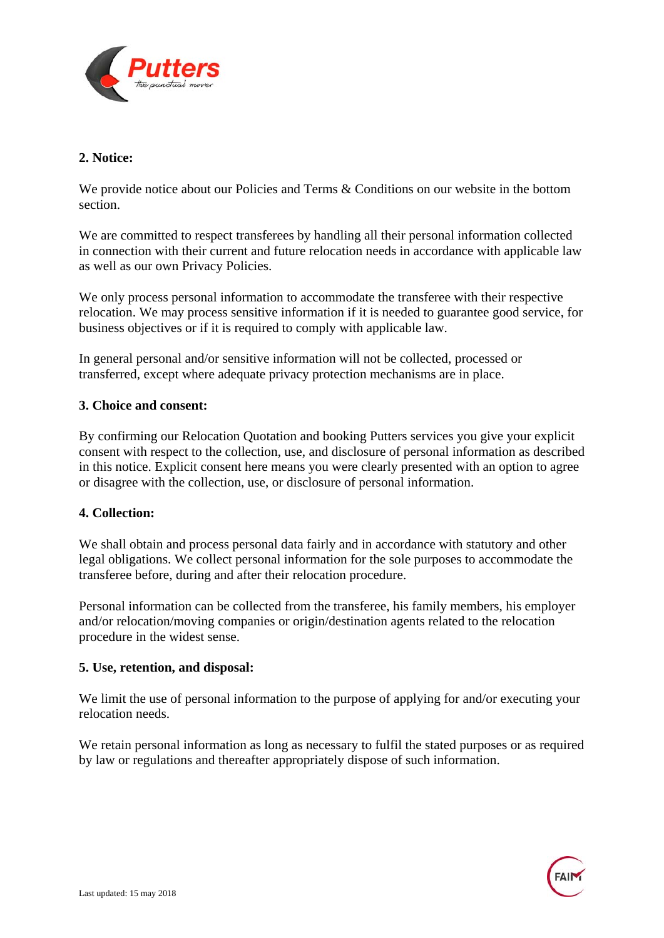

# **2. Notice:**

We provide notice about our Policies and Terms & Conditions on our website in the bottom section.

We are committed to respect transferees by handling all their personal information collected in connection with their current and future relocation needs in accordance with applicable law as well as our own Privacy Policies.

We only process personal information to accommodate the transferee with their respective relocation. We may process sensitive information if it is needed to guarantee good service, for business objectives or if it is required to comply with applicable law.

In general personal and/or sensitive information will not be collected, processed or transferred, except where adequate privacy protection mechanisms are in place.

#### **3. Choice and consent:**

By confirming our Relocation Quotation and booking Putters services you give your explicit consent with respect to the collection, use, and disclosure of personal information as described in this notice. Explicit consent here means you were clearly presented with an option to agree or disagree with the collection, use, or disclosure of personal information.

#### **4. Collection:**

We shall obtain and process personal data fairly and in accordance with statutory and other legal obligations. We collect personal information for the sole purposes to accommodate the transferee before, during and after their relocation procedure.

Personal information can be collected from the transferee, his family members, his employer and/or relocation/moving companies or origin/destination agents related to the relocation procedure in the widest sense.

#### **5. Use, retention, and disposal:**

We limit the use of personal information to the purpose of applying for and/or executing your relocation needs.

We retain personal information as long as necessary to fulfil the stated purposes or as required by law or regulations and thereafter appropriately dispose of such information.